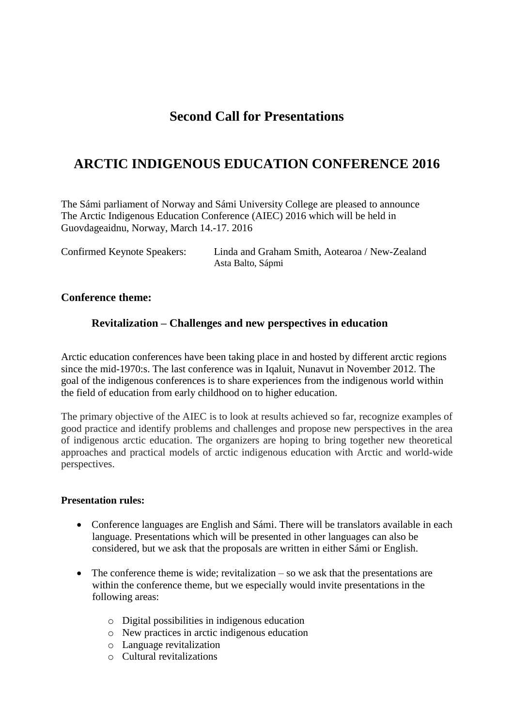## **Second Call for Presentations**

# **ARCTIC INDIGENOUS EDUCATION CONFERENCE 2016**

The Sámi parliament of Norway and Sámi University College are pleased to announce The Arctic Indigenous Education Conference (AIEC) 2016 which will be held in Guovdageaidnu, Norway, March 14.-17. 2016

| <b>Confirmed Keynote Speakers:</b> | Linda and Graham Smith, Aotearoa / New-Zealand |  |
|------------------------------------|------------------------------------------------|--|
|                                    | Asta Balto, Sápmi                              |  |

### **Conference theme:**

### **Revitalization – Challenges and new perspectives in education**

Arctic education conferences have been taking place in and hosted by different arctic regions since the mid-1970:s. The last conference was in Iqaluit, Nunavut in November 2012. The goal of the indigenous conferences is to share experiences from the indigenous world within the field of education from early childhood on to higher education.

The primary objective of the AIEC is to look at results achieved so far, recognize examples of good practice and identify problems and challenges and propose new perspectives in the area of indigenous arctic education. The organizers are hoping to bring together new theoretical approaches and practical models of arctic indigenous education with Arctic and world-wide perspectives.

#### **Presentation rules:**

- Conference languages are English and Sámi. There will be translators available in each language. Presentations which will be presented in other languages can also be considered, but we ask that the proposals are written in either Sámi or English.
- $\bullet$  The conference theme is wide; revitalization so we ask that the presentations are within the conference theme, but we especially would invite presentations in the following areas:
	- o Digital possibilities in indigenous education
	- o New practices in arctic indigenous education
	- o Language revitalization
	- o Cultural revitalizations